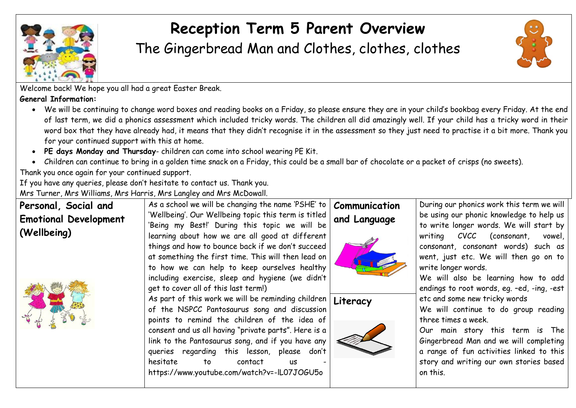

## **Reception Term 5 Parent Overview**

The Gingerbread Man and Clothes, clothes, clothes



Welcome back! We hope you all had a great Easter Break.

**General Information:** 

- We will be continuing to change word boxes and reading books on a Friday, so please ensure they are in your child's bookbag every Friday. At the end of last term, we did a phonics assessment which included tricky words. The children all did amazingly well. If your child has a tricky word in their word box that they have already had, it means that they didn't recognise it in the assessment so they just need to practise it a bit more. Thank you for your continued support with this at home.
- **PE days Monday and Thursday** children can come into school wearing PE Kit.
- Children can continue to bring in a golden time snack on a Friday, this could be a small bar of chocolate or a packet of crisps (no sweets).

Thank you once again for your continued support.

If you have any queries, please don't hesitate to contact us. Thank you.

Mrs Turner, Mrs Williams, Mrs Harris, Mrs Langley and Mrs McDowall.

| Personal, Social and         | As a school we will be changing the name 'PSHE' to            | Communication | During our phonics work this term we will  |
|------------------------------|---------------------------------------------------------------|---------------|--------------------------------------------|
| <b>Emotional Development</b> | 'Wellbeing'. Our Wellbeing topic this term is titled          | and Language  | be using our phonic knowledge to help us   |
|                              | 'Being my Best!' During this topic we will be                 |               | to write longer words. We will start by    |
| (Wellbeing)                  | learning about how we are all good at different               |               | writing CVCC (consonant, vowel,            |
|                              | things and how to bounce back if we don't succeed             |               | consonant, consonant words) such as        |
|                              | at something the first time. This will then lead on           |               | went, just etc. We will then go on to      |
|                              | to how we can help to keep ourselves healthy                  |               | write longer words.                        |
|                              | including exercise, sleep and hygiene (we didn't              |               | We will also be learning how to add        |
|                              | get to cover all of this last term!)                          |               | endings to root words, eg. -ed, -ing, -est |
|                              | As part of this work we will be reminding children   Literacy |               | etc and some new tricky words              |
|                              | of the NSPCC Pantosaurus song and discussion                  |               | We will continue to do group reading       |
|                              | points to remind the children of the idea of                  |               | three times a week.                        |
|                              | consent and us all having "private parts". Here is a          |               | Our main story this term is The            |
|                              | link to the Pantosaurus song, and if you have any             |               | Gingerbread Man and we will completing     |
|                              | queries regarding this lesson, please don't                   |               | a range of fun activities linked to this   |
|                              | hesitate<br>contact<br>to<br><b>US</b>                        |               | story and writing our own stories based    |
|                              | https://www.youtube.com/watch?v=-IL07JOGU5o                   |               | on this.                                   |
|                              |                                                               |               |                                            |